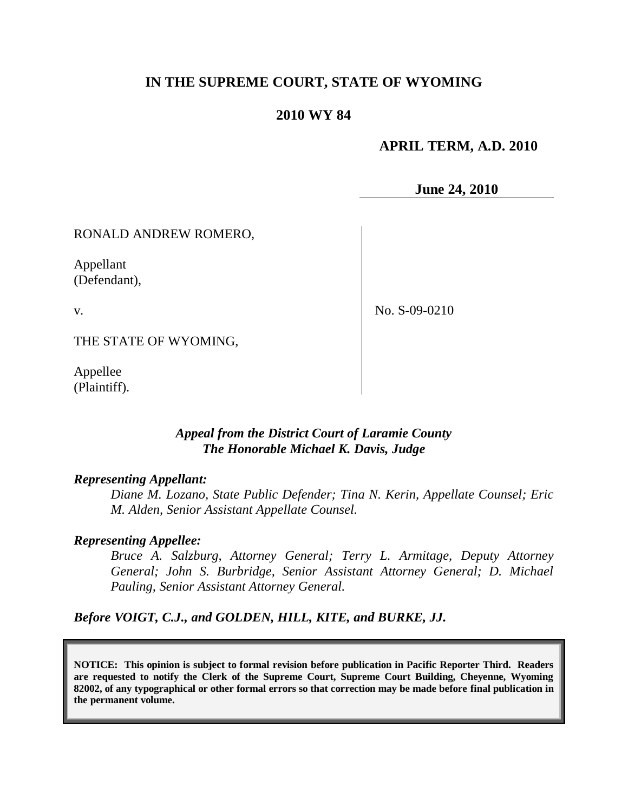# **IN THE SUPREME COURT, STATE OF WYOMING**

## **2010 WY 84**

## **APRIL TERM, A.D. 2010**

**June 24, 2010**

RONALD ANDREW ROMERO,

Appellant (Defendant),

v.

No. S-09-0210

THE STATE OF WYOMING,

Appellee (Plaintiff).

### *Appeal from the District Court of Laramie County The Honorable Michael K. Davis, Judge*

#### *Representing Appellant:*

*Diane M. Lozano, State Public Defender; Tina N. Kerin, Appellate Counsel; Eric M. Alden, Senior Assistant Appellate Counsel.*

#### *Representing Appellee:*

*Bruce A. Salzburg, Attorney General; Terry L. Armitage, Deputy Attorney General; John S. Burbridge, Senior Assistant Attorney General; D. Michael Pauling, Senior Assistant Attorney General.*

*Before VOIGT, C.J., and GOLDEN, HILL, KITE, and BURKE, JJ.*

**NOTICE: This opinion is subject to formal revision before publication in Pacific Reporter Third. Readers are requested to notify the Clerk of the Supreme Court, Supreme Court Building, Cheyenne, Wyoming 82002, of any typographical or other formal errors so that correction may be made before final publication in the permanent volume.**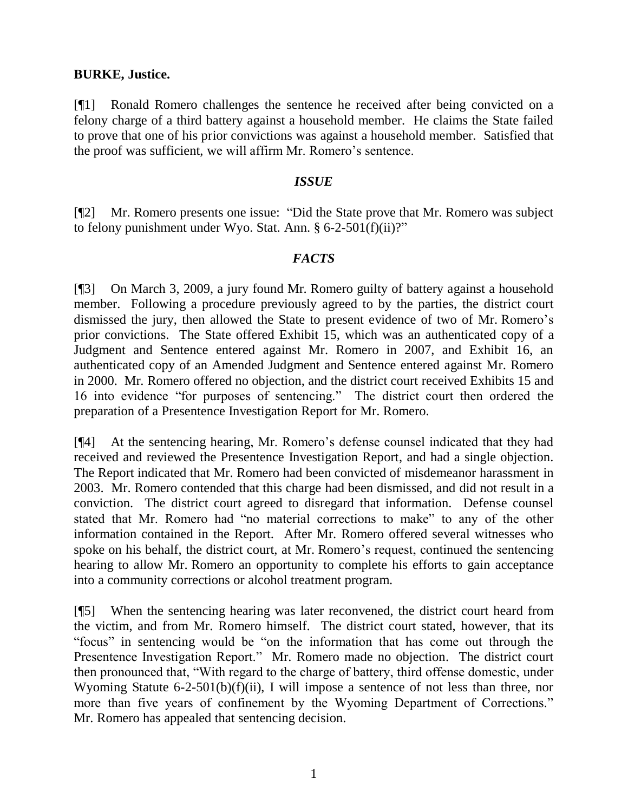## **BURKE, Justice.**

[¶1] Ronald Romero challenges the sentence he received after being convicted on a felony charge of a third battery against a household member. He claims the State failed to prove that one of his prior convictions was against a household member. Satisfied that the proof was sufficient, we will affirm Mr. Romero's sentence.

### *ISSUE*

[¶2] Mr. Romero presents one issue: "Did the State prove that Mr. Romero was subject to felony punishment under Wyo. Stat. Ann. §  $6-2-501(f)(ii)$ ?"

# *FACTS*

[¶3] On March 3, 2009, a jury found Mr. Romero guilty of battery against a household member. Following a procedure previously agreed to by the parties, the district court dismissed the jury, then allowed the State to present evidence of two of Mr. Romero's prior convictions. The State offered Exhibit 15, which was an authenticated copy of a Judgment and Sentence entered against Mr. Romero in 2007, and Exhibit 16, an authenticated copy of an Amended Judgment and Sentence entered against Mr. Romero in 2000. Mr. Romero offered no objection, and the district court received Exhibits 15 and 16 into evidence "for purposes of sentencing." The district court then ordered the preparation of a Presentence Investigation Report for Mr. Romero.

[¶4] At the sentencing hearing, Mr. Romero's defense counsel indicated that they had received and reviewed the Presentence Investigation Report, and had a single objection. The Report indicated that Mr. Romero had been convicted of misdemeanor harassment in 2003. Mr. Romero contended that this charge had been dismissed, and did not result in a conviction. The district court agreed to disregard that information. Defense counsel stated that Mr. Romero had "no material corrections to make" to any of the other information contained in the Report. After Mr. Romero offered several witnesses who spoke on his behalf, the district court, at Mr. Romero's request, continued the sentencing hearing to allow Mr. Romero an opportunity to complete his efforts to gain acceptance into a community corrections or alcohol treatment program.

[¶5] When the sentencing hearing was later reconvened, the district court heard from the victim, and from Mr. Romero himself. The district court stated, however, that its "focus" in sentencing would be "on the information that has come out through the Presentence Investigation Report." Mr. Romero made no objection. The district court then pronounced that, "With regard to the charge of battery, third offense domestic, under Wyoming Statute 6-2-501(b)(f)(ii), I will impose a sentence of not less than three, nor more than five years of confinement by the Wyoming Department of Corrections." Mr. Romero has appealed that sentencing decision.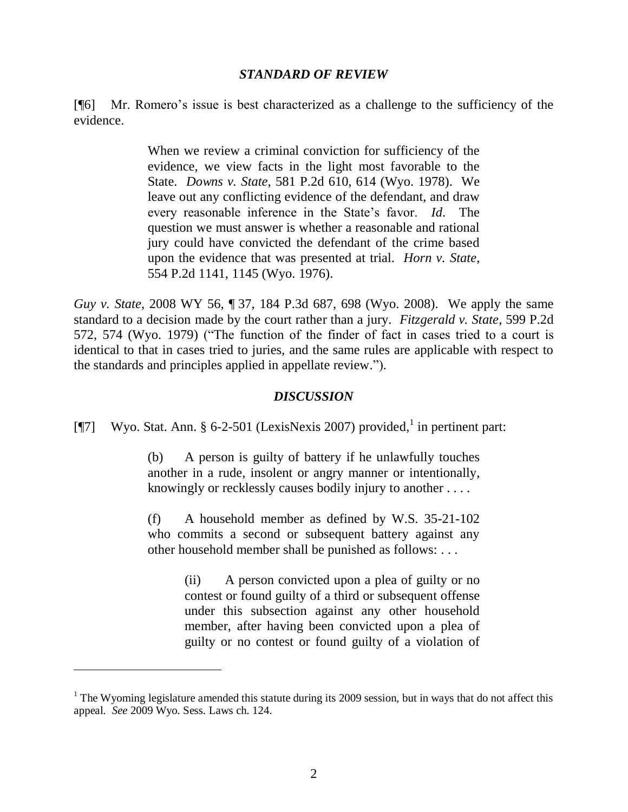#### *STANDARD OF REVIEW*

[¶6] Mr. Romero's issue is best characterized as a challenge to the sufficiency of the evidence.

> When we review a criminal conviction for sufficiency of the evidence, we view facts in the light most favorable to the State. *Downs v. State*, 581 P.2d 610, 614 (Wyo. 1978). We leave out any conflicting evidence of the defendant, and draw every reasonable inference in the State's favor. *Id*. The question we must answer is whether a reasonable and rational jury could have convicted the defendant of the crime based upon the evidence that was presented at trial. *Horn v. State*, 554 P.2d 1141, 1145 (Wyo. 1976).

*Guy v. State*, 2008 WY 56, ¶ 37, 184 P.3d 687, 698 (Wyo. 2008). We apply the same standard to a decision made by the court rather than a jury. *Fitzgerald v. State*, 599 P.2d 572, 574 (Wyo. 1979) ("The function of the finder of fact in cases tried to a court is identical to that in cases tried to juries, and the same rules are applicable with respect to the standards and principles applied in appellate review.").

### *DISCUSSION*

[ $[$ ] Wyo. Stat. Ann. § 6-2-501 (LexisNexis 2007) provided, in pertinent part:

(b) A person is guilty of battery if he unlawfully touches another in a rude, insolent or angry manner or intentionally, knowingly or recklessly causes bodily injury to another . . . .

(f) A household member as defined by W.S. 35-21-102 who commits a second or subsequent battery against any other household member shall be punished as follows: . . .

> (ii) A person convicted upon a plea of guilty or no contest or found guilty of a third or subsequent offense under this subsection against any other household member, after having been convicted upon a plea of guilty or no contest or found guilty of a violation of

 $1$  The Wyoming legislature amended this statute during its 2009 session, but in ways that do not affect this appeal. *See* 2009 Wyo. Sess. Laws ch. 124.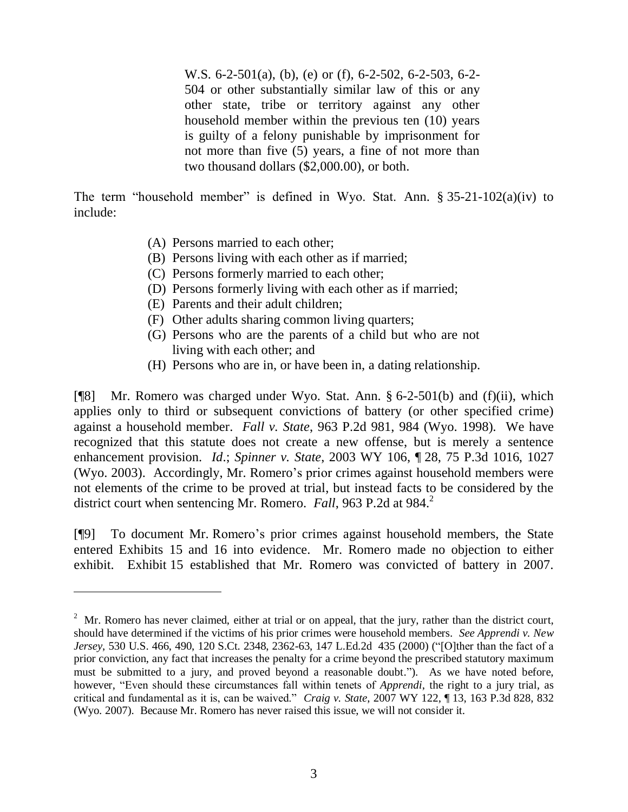W.S. 6-2-501(a), (b), (e) or (f), 6-2-502, 6-2-503, 6-2- 504 or other substantially similar law of this or any other state, tribe or territory against any other household member within the previous ten (10) years is guilty of a felony punishable by imprisonment for not more than five (5) years, a fine of not more than two thousand dollars (\$2,000.00), or both.

The term "household member" is defined in Wyo. Stat. Ann. § 35-21-102(a)(iv) to include:

- (A) Persons married to each other;
- (B) Persons living with each other as if married;
- (C) Persons formerly married to each other;
- (D) Persons formerly living with each other as if married;
- (E) Parents and their adult children;

 $\overline{a}$ 

- (F) Other adults sharing common living quarters;
- (G) Persons who are the parents of a child but who are not living with each other; and
- (H) Persons who are in, or have been in, a dating relationship.

[¶8] Mr. Romero was charged under Wyo. Stat. Ann. § 6-2-501(b) and (f)(ii), which applies only to third or subsequent convictions of battery (or other specified crime) against a household member. *Fall v. State*, 963 P.2d 981, 984 (Wyo. 1998). We have recognized that this statute does not create a new offense, but is merely a sentence enhancement provision. *Id*.; *Spinner v. State*, 2003 WY 106, ¶ 28, 75 P.3d 1016, 1027 (Wyo. 2003). Accordingly, Mr. Romero's prior crimes against household members were not elements of the crime to be proved at trial, but instead facts to be considered by the district court when sentencing Mr. Romero. *Fall*, 963 P.2d at 984.<sup>2</sup>

[¶9] To document Mr. Romero's prior crimes against household members, the State entered Exhibits 15 and 16 into evidence. Mr. Romero made no objection to either exhibit. Exhibit 15 established that Mr. Romero was convicted of battery in 2007.

 $2^2$  Mr. Romero has never claimed, either at trial or on appeal, that the jury, rather than the district court, should have determined if the victims of his prior crimes were household members. *See Apprendi v. New Jersey*, 530 U.S. 466, 490, 120 S.Ct. 2348, 2362-63, 147 L.Ed.2d 435 (2000) ("[O]ther than the fact of a prior conviction, any fact that increases the penalty for a crime beyond the prescribed statutory maximum must be submitted to a jury, and proved beyond a reasonable doubt."). As we have noted before, however, "Even should these circumstances fall within tenets of *Apprendi*, the right to a jury trial, as critical and fundamental as it is, can be waived." *Craig v. State*, 2007 WY 122, ¶ 13, 163 P.3d 828, 832 (Wyo. 2007). Because Mr. Romero has never raised this issue, we will not consider it.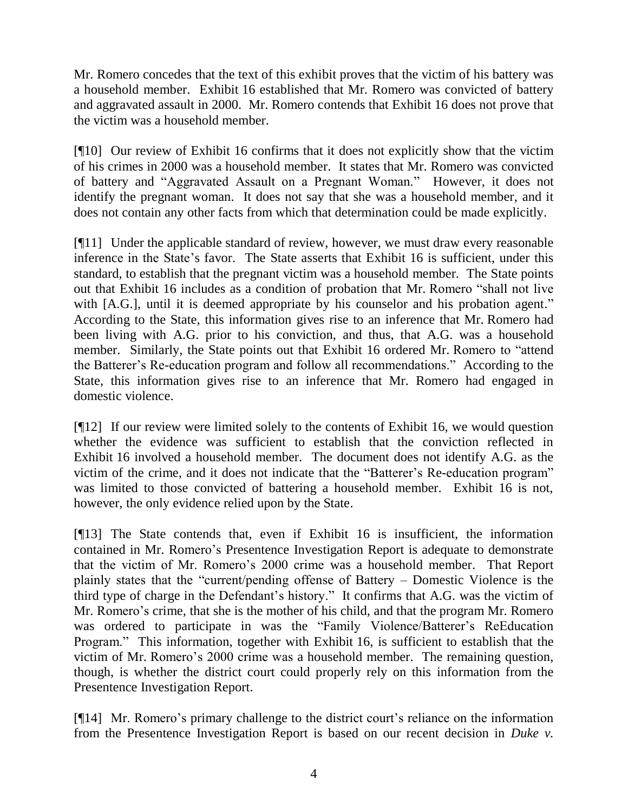Mr. Romero concedes that the text of this exhibit proves that the victim of his battery was a household member. Exhibit 16 established that Mr. Romero was convicted of battery and aggravated assault in 2000. Mr. Romero contends that Exhibit 16 does not prove that the victim was a household member.

[¶10] Our review of Exhibit 16 confirms that it does not explicitly show that the victim of his crimes in 2000 was a household member. It states that Mr. Romero was convicted of battery and "Aggravated Assault on a Pregnant Woman." However, it does not identify the pregnant woman. It does not say that she was a household member, and it does not contain any other facts from which that determination could be made explicitly.

[¶11] Under the applicable standard of review, however, we must draw every reasonable inference in the State's favor. The State asserts that Exhibit 16 is sufficient, under this standard, to establish that the pregnant victim was a household member. The State points out that Exhibit 16 includes as a condition of probation that Mr. Romero "shall not live with [A.G.], until it is deemed appropriate by his counselor and his probation agent." According to the State, this information gives rise to an inference that Mr. Romero had been living with A.G. prior to his conviction, and thus, that A.G. was a household member. Similarly, the State points out that Exhibit 16 ordered Mr. Romero to "attend the Batterer's Re-education program and follow all recommendations." According to the State, this information gives rise to an inference that Mr. Romero had engaged in domestic violence.

[¶12] If our review were limited solely to the contents of Exhibit 16, we would question whether the evidence was sufficient to establish that the conviction reflected in Exhibit 16 involved a household member. The document does not identify A.G. as the victim of the crime, and it does not indicate that the "Batterer's Re-education program" was limited to those convicted of battering a household member. Exhibit 16 is not, however, the only evidence relied upon by the State.

[¶13] The State contends that, even if Exhibit 16 is insufficient, the information contained in Mr. Romero's Presentence Investigation Report is adequate to demonstrate that the victim of Mr. Romero's 2000 crime was a household member. That Report plainly states that the "current/pending offense of Battery – Domestic Violence is the third type of charge in the Defendant's history." It confirms that A.G. was the victim of Mr. Romero's crime, that she is the mother of his child, and that the program Mr. Romero was ordered to participate in was the "Family Violence/Batterer's ReEducation Program." This information, together with Exhibit 16, is sufficient to establish that the victim of Mr. Romero's 2000 crime was a household member. The remaining question, though, is whether the district court could properly rely on this information from the Presentence Investigation Report.

[¶14] Mr. Romero's primary challenge to the district court's reliance on the information from the Presentence Investigation Report is based on our recent decision in *Duke v.*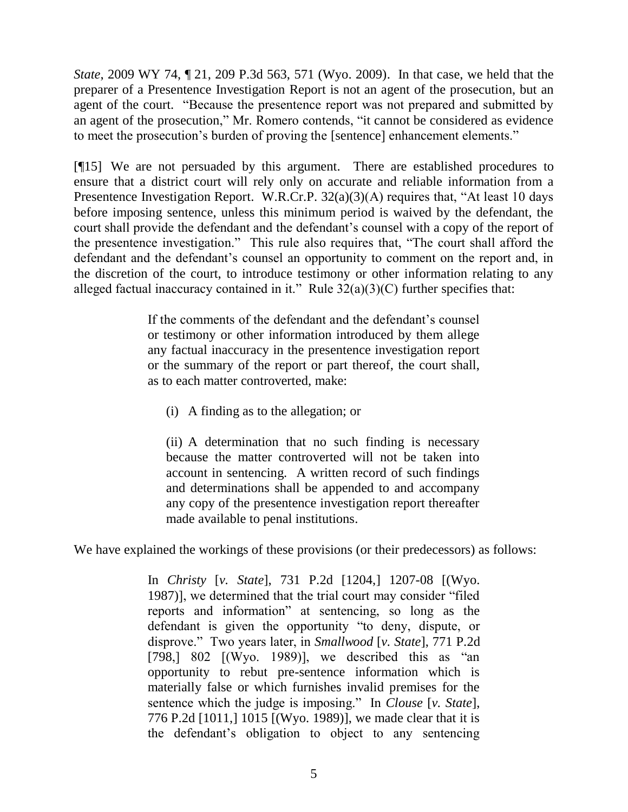*State*, 2009 WY 74, ¶ 21, 209 P.3d 563, 571 (Wyo. 2009). In that case, we held that the preparer of a Presentence Investigation Report is not an agent of the prosecution, but an agent of the court. "Because the presentence report was not prepared and submitted by an agent of the prosecution," Mr. Romero contends, "it cannot be considered as evidence to meet the prosecution's burden of proving the [sentence] enhancement elements."

[¶15] We are not persuaded by this argument. There are established procedures to ensure that a district court will rely only on accurate and reliable information from a Presentence Investigation Report. W.R.Cr.P.  $32(a)(3)(A)$  requires that, "At least 10 days before imposing sentence, unless this minimum period is waived by the defendant, the court shall provide the defendant and the defendant's counsel with a copy of the report of the presentence investigation." This rule also requires that, "The court shall afford the defendant and the defendant's counsel an opportunity to comment on the report and, in the discretion of the court, to introduce testimony or other information relating to any alleged factual inaccuracy contained in it." Rule  $32(a)(3)(C)$  further specifies that:

> If the comments of the defendant and the defendant's counsel or testimony or other information introduced by them allege any factual inaccuracy in the presentence investigation report or the summary of the report or part thereof, the court shall, as to each matter controverted, make:

(i) A finding as to the allegation; or

(ii) A determination that no such finding is necessary because the matter controverted will not be taken into account in sentencing. A written record of such findings and determinations shall be appended to and accompany any copy of the presentence investigation report thereafter made available to penal institutions.

We have explained the workings of these provisions (or their predecessors) as follows:

In *Christy* [*v. State*], 731 P.2d [1204,] 1207-08 [(Wyo. 1987)], we determined that the trial court may consider "filed reports and information" at sentencing, so long as the defendant is given the opportunity "to deny, dispute, or disprove." Two years later, in *Smallwood* [*v. State*], 771 P.2d [798,] 802 [(Wyo. 1989)], we described this as "an opportunity to rebut pre-sentence information which is materially false or which furnishes invalid premises for the sentence which the judge is imposing." In *Clouse* [*v. State*], 776 P.2d [1011,] 1015 [(Wyo. 1989)], we made clear that it is the defendant's obligation to object to any sentencing